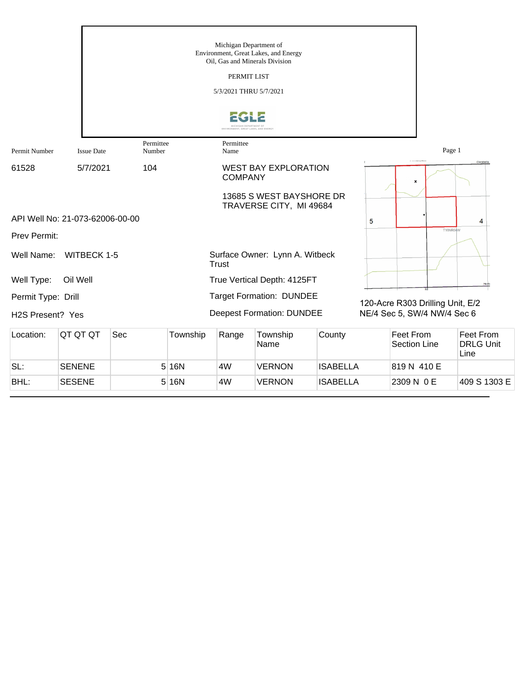|                               |                                 |                     |          | Michigan Department of               | Environment, Great Lakes, and Energy<br>Oil, Gas and Minerals Division |                 |   |                                                                 |                                       |
|-------------------------------|---------------------------------|---------------------|----------|--------------------------------------|------------------------------------------------------------------------|-----------------|---|-----------------------------------------------------------------|---------------------------------------|
|                               |                                 |                     |          | PERMIT LIST                          |                                                                        |                 |   |                                                                 |                                       |
|                               |                                 |                     |          | 5/3/2021 THRU 5/7/2021               |                                                                        |                 |   |                                                                 |                                       |
|                               |                                 |                     |          | ENVIRONMENT, GREAT LAKES, AND ENERGY |                                                                        |                 |   |                                                                 |                                       |
| Permit Number                 | <b>Issue Date</b>               | Permittee<br>Number |          | Permittee<br>Name                    |                                                                        |                 |   | Page 1                                                          |                                       |
| 61528                         | 5/7/2021                        | 104                 |          | <b>COMPANY</b>                       | <b>WEST BAY EXPLORATION</b>                                            |                 |   | <b>CONVERT</b><br>x                                             | Clarabella                            |
|                               |                                 |                     |          |                                      | 13685 S WEST BAYSHORE DR<br>TRAVERSE CITY, MI 49684                    |                 |   |                                                                 |                                       |
|                               | API Well No: 21-073-62006-00-00 |                     |          |                                      |                                                                        |                 | 5 |                                                                 | 4                                     |
| Prev Permit:                  |                                 |                     |          |                                      |                                                                        |                 |   | <b>T16NR04W</b>                                                 |                                       |
| Well Name:                    | <b>WITBECK 1-5</b>              |                     |          | <b>Trust</b>                         | Surface Owner: Lynn A. Witbeck                                         |                 |   |                                                                 |                                       |
| Well Type:                    | Oil Well                        |                     |          |                                      | True Vertical Depth: 4125FT                                            |                 |   |                                                                 |                                       |
| Permit Type: Drill            |                                 |                     |          |                                      | <b>Target Formation: DUNDEE</b>                                        |                 |   |                                                                 |                                       |
| H <sub>2</sub> S Present? Yes |                                 |                     |          |                                      | <b>Deepest Formation: DUNDEE</b>                                       |                 |   | 120-Acre R303 Drilling Unit, E/2<br>NE/4 Sec 5, SW/4 NW/4 Sec 6 |                                       |
| Location:                     | QT QT QT                        | Sec                 | Township | Range                                | Township<br>Name                                                       | County          |   | <b>Feet From</b><br><b>Section Line</b>                         | Feet From<br><b>DRLG Unit</b><br>Line |
| SL:                           | <b>SENENE</b>                   |                     | 5 16N    | 4W                                   | <b>VERNON</b>                                                          | <b>ISABELLA</b> |   | 819 N 410 E                                                     |                                       |

BHL: SESENE 5 16N 4W VERNON ISABELLA 2309 N 0 E 409 S 1303 E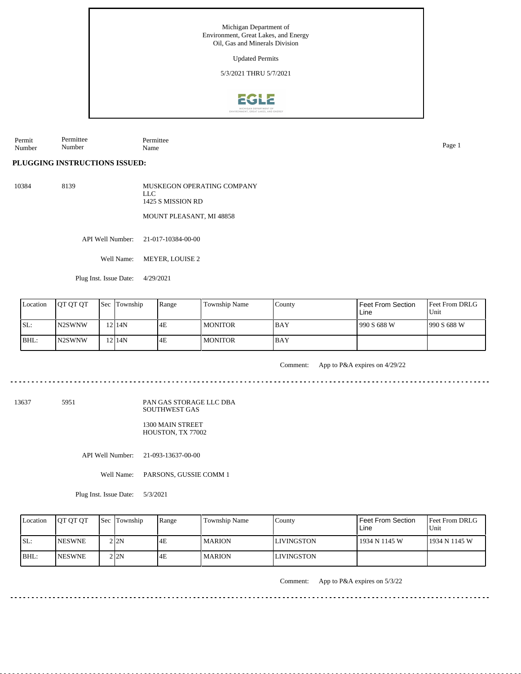Michigan Department of Environment, Great Lakes, and Energy Oil, Gas and Minerals Division Updated Permits 5/3/2021 THRU 5/7/2021**EGLE** 

Permit Number Permittee Number Permittee Name Page 1

## **PLUGGING INSTRUCTIONS ISSUED:**

10384 8139 MUSKEGON OPERATING COMPANY LLC 1425 S MISSION RD MOUNT PLEASANT, MI 48858

API Well Number: 21-017-10384-00-00

Well Name: MEYER, LOUISE 2

Plug Inst. Issue Date: 4/29/2021

| Location | <b>IOT OT OT</b> | <b>Sec Township</b> | Range | Township Name  | County      | <b>Feet From Section</b><br>Line | <b>Feet From DRLG</b><br>l Unit |
|----------|------------------|---------------------|-------|----------------|-------------|----------------------------------|---------------------------------|
| SL:      | IN2SWNW          | 12114N              | 4E    | <b>MONITOR</b> | <b>BAY</b>  | 990 S 688 W                      | 1990 S 688 W                    |
| BHL:     | IN2SWNW          | 12 I 14 N           | 4E    | MONITOR        | <b>IBAY</b> |                                  |                                 |

Comment: App to P&A expires on 4/29/22

13637 5951

## PAN GAS STORAGE LLC DBA SOUTHWEST GAS

1300 MAIN STREET HOUSTON, TX 77002

API Well Number: 21-093-13637-00-00

Well Name: PARSONS, GUSSIE COMM 1

Plug Inst. Issue Date: 5/3/2021

| Location | <b>OT OT OT</b> | Sec Township | Range | <b>Township Name</b> | Countv      | Feet From Section<br>Line | Feet From DRLG<br>Unit |
|----------|-----------------|--------------|-------|----------------------|-------------|---------------------------|------------------------|
| SL:      | <b>INESWNE</b>  | 2 2N         | 4E    | <b>MARION</b>        | ILIVINGSTON | 1934 N 1145 W             | 1934 N 1145 W          |
| IBHL:    | <b>INESWNE</b>  | 2 I 2 N      | 4E    | <b>MARION</b>        | LIVINGSTON  |                           |                        |

Comment: App to P&A expires on 5/3/22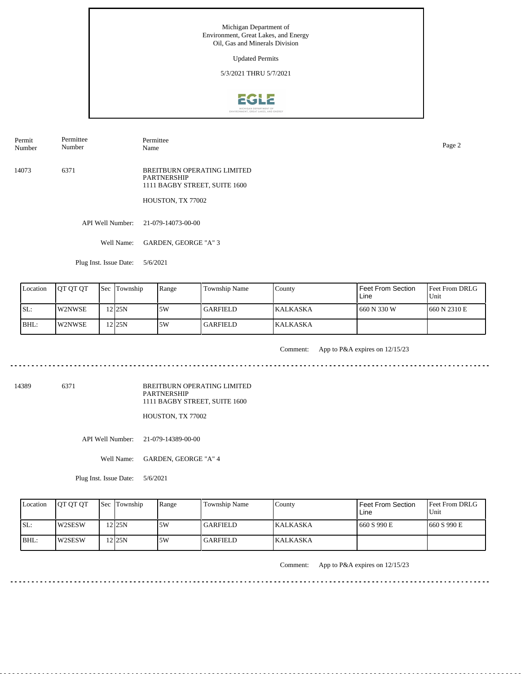Updated Permits

5/3/2021 THRU 5/7/2021



Permit Number Permittee Number

Permittee Name Page 2

14073 6371 BREITBURN OPERATING LIMITED PARTNERSHIP 1111 BAGBY STREET, SUITE 1600

HOUSTON, TX 77002

API Well Number: 21-079-14073-00-00

Well Name: GARDEN, GEORGE "A" 3

Plug Inst. Issue Date: 5/6/2021

| Location | <b>OT OT OT</b> | <b>Sec Township</b> | Range | Township Name   | County           | I Feet From Section<br>Line | <b>Feet From DRLG</b><br>l Unit |
|----------|-----------------|---------------------|-------|-----------------|------------------|-----------------------------|---------------------------------|
| ISL:     | lW2NWSE         | 12125N              | ا 5W  | <b>GARFIELD</b> | <b>IKALKASKA</b> | 660 N 330 W                 | 1660 N 2310 E                   |
| BHL:     | <b>W2NWSE</b>   | 12125N              | 5W    | GARFIELD        | <b>KALKASKA</b>  |                             |                                 |

<u>. . . . . . . .</u>

Comment: App to P&A expires on 12/15/23

14389 6371

BREITBURN OPERATING LIMITED PARTNERSHIP 1111 BAGBY STREET, SUITE 1600

HOUSTON, TX 77002

API Well Number: 21-079-14389-00-00

Well Name: GARDEN, GEORGE "A" 4

Plug Inst. Issue Date: 5/6/2021

| Location | <b>IOT OT OT</b> | <b>Sec</b> Township  | Range | Township Name   | County           | Feet From Section<br>∟ine | <b>Feet From DRLG</b><br>Unit |
|----------|------------------|----------------------|-------|-----------------|------------------|---------------------------|-------------------------------|
| ISL:     | <b>IW2SESW</b>   | $2$ <sub>125</sub> N | 5W    | <b>GARFIELD</b> | <b>IKALKASKA</b> | 660 S 990 E               | 1660 S 990 E                  |
| BHL:     | <b>IW2SESW</b>   | $2$  25N             | .5W   | <b>GARFIELD</b> | <b>KALKASKA</b>  |                           |                               |

Comment: App to P&A expires on 12/15/23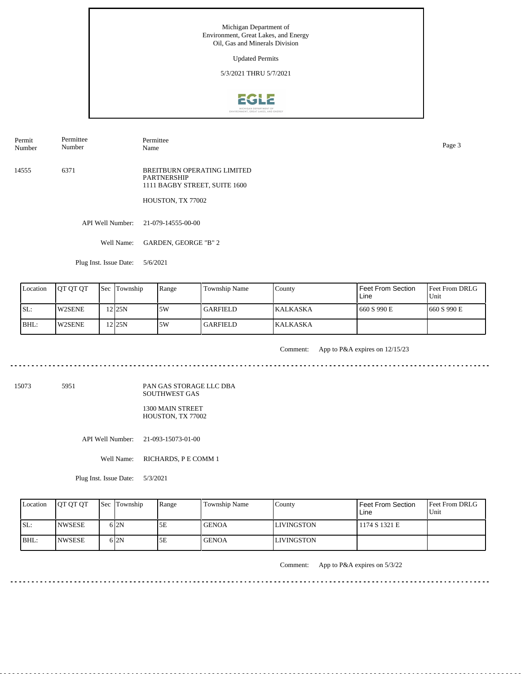Updated Permits

5/3/2021 THRU 5/7/2021



Permit Number Permittee Number

Permittee Name Page 3

14555 6371 BREITBURN OPERATING LIMITED PARTNERSHIP 1111 BAGBY STREET, SUITE 1600

HOUSTON, TX 77002

API Well Number: 21-079-14555-00-00

Well Name: GARDEN, GEORGE "B" 2

Plug Inst. Issue Date: 5/6/2021

| Location | <b>IOT OT OT</b> | <b>Sec</b> Township | Range | Township Name   | County           | <b>Feet From Section</b><br>Line | Feet From DRLG<br>Unit |
|----------|------------------|---------------------|-------|-----------------|------------------|----------------------------------|------------------------|
| SL:      | <b>W2SENE</b>    | 12 25 N             | 5W    | <b>GARFIELD</b> | <b>IKALKASKA</b> | 660 S 990 E                      | 1660 S 990 E           |
| BHL:     | <b>W2SENE</b>    | 12125N              | 5W    | <b>GARFIELD</b> | <b>IKALKASKA</b> |                                  |                        |

<u>. . . . . . . . . . . .</u>

Comment: App to P&A expires on 12/15/23

15073 5951

PAN GAS STORAGE LLC DBA SOUTHWEST GAS

1300 MAIN STREET HOUSTON, TX 77002

API Well Number: 21-093-15073-01-00

Well Name: RICHARDS, P E COMM 1

Plug Inst. Issue Date: 5/3/2021

| Location | <b>IOT OT OT</b> | <b>Sec Township</b> | Range | <b>Township Name</b> | County             | Feet From Section<br>Line | <b>Feet From DRLG</b><br>Unit |
|----------|------------------|---------------------|-------|----------------------|--------------------|---------------------------|-------------------------------|
| SL:      | <b>INWSESE</b>   | 6 2N                | 5Ε    | <b>GENOA</b>         | <b>ILIVINGSTON</b> | 1174 S 1321 E             |                               |
| BHL:     | <b>INWSESE</b>   | 6 I 2 N             | 5E    | <b>GENOA</b>         | <b>LIVINGSTON</b>  |                           |                               |

Comment: App to P&A expires on 5/3/22

<u>. . . . . . . . . . . . . . . . .</u>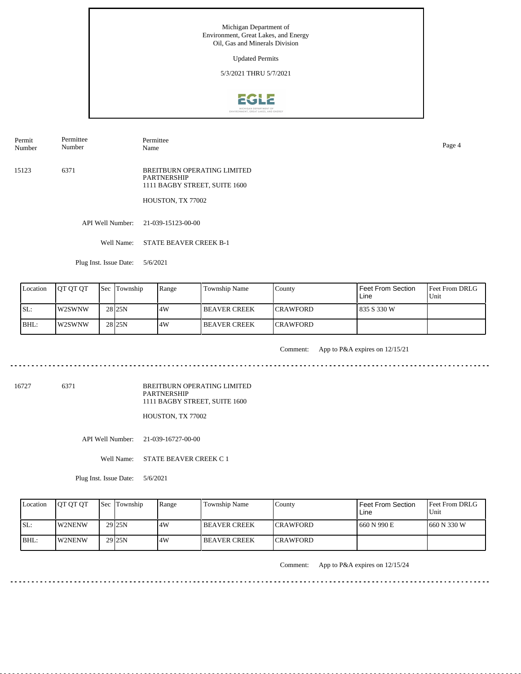Updated Permits

5/3/2021 THRU 5/7/2021



Permit Number Permittee Number

Permittee Name Page 4

15123 6371 BREITBURN OPERATING LIMITED PARTNERSHIP 1111 BAGBY STREET, SUITE 1600

HOUSTON, TX 77002

API Well Number: 21-039-15123-00-00

Well Name: STATE BEAVER CREEK B-1

Plug Inst. Issue Date: 5/6/2021

| Location | <b>IOT OT OT</b> | <b>Sec</b> Township | Range | Township Name  | County           | Feet From Section<br>Line | l Feet From DRLG<br>Unit |
|----------|------------------|---------------------|-------|----------------|------------------|---------------------------|--------------------------|
| ISL:     | <b>IW2SWNW</b>   | 28 <sub>25N</sub>   | 14W   | I BEAVER CREEK | <b>ICRAWFORD</b> | 835 S 330 W               |                          |
| BHL:     | <b>IW2SWNW</b>   | 28 <sub>25N</sub>   | .4W   | I BEAVER CREEK | <b>ICRAWFORD</b> |                           |                          |

. . . . . . . . .

Comment: App to P&A expires on 12/15/21

. . . . . . . . . . . . . . . . . . . .

16727 6371

BREITBURN OPERATING LIMITED PARTNERSHIP 1111 BAGBY STREET, SUITE 1600

HOUSTON, TX 77002

API Well Number: 21-039-16727-00-00

Well Name: STATE BEAVER CREEK C 1

Plug Inst. Issue Date: 5/6/2021

| Location | <b>IOT OT OT</b> | <b>Sec</b> Township | Range | Township Name       | County           | Feet From Section<br>∟ine | <b>Feet From DRLG</b><br>Unit |
|----------|------------------|---------------------|-------|---------------------|------------------|---------------------------|-------------------------------|
| ISL:     | <b>IW2NENW</b>   | 29 <sub>125N</sub>  | 4W    | <b>BEAVER CREEK</b> | <b>ICRAWFORD</b> | 660 N 990 E               | 1660 N 330 W                  |
| BHL:     | <b>IW2NENW</b>   | 29 <sub>25N</sub>   | 4W    | <b>BEAVER CREEK</b> | <b>ICRAWFORD</b> |                           |                               |

Comment: App to P&A expires on 12/15/24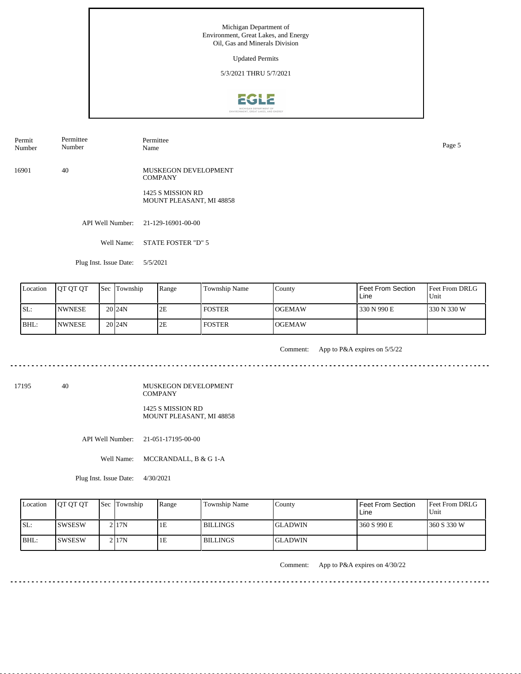Updated Permits

5/3/2021 THRU 5/7/2021



Permit Number Permittee Number

Permittee Name Page 5

16901 40 MUSKEGON DEVELOPMENT **COMPANY** 

> 1425 S MISSION RD MOUNT PLEASANT, MI 48858

API Well Number: 21-129-16901-00-00

Well Name: STATE FOSTER "D" 5

Plug Inst. Issue Date: 5/5/2021

| Location | <b>IOT OT OT</b> | <b>Sec</b> Township | Range | Township Name | County  | <b>Feet From Section</b><br>Line | Feet From DRLG<br>Unit |
|----------|------------------|---------------------|-------|---------------|---------|----------------------------------|------------------------|
| SL:      | <b>INWNESE</b>   | 20 <sub>124</sub> N | 2E    | <b>FOSTER</b> | IOGEMAW | 330 N 990 E                      | 330 N 330 W            |
| BHL:     | <b>INWNESE</b>   | 20 <sub>124</sub> N | 2E    | <b>FOSTER</b> | IOGEMAW |                                  |                        |

<u>. . . . . . . . . . . .</u>

Comment: App to P&A expires on 5/5/22

17195 40

MUSKEGON DEVELOPMENT COMPANY 1425 S MISSION RD MOUNT PLEASANT, MI 48858

API Well Number: 21-051-17195-00-00

Well Name: MCCRANDALL, B & G 1-A

Plug Inst. Issue Date: 4/30/2021

| Location | <b>OT OT OT</b> | <b>Sec</b> Township | Range | <b>Township Name</b> | County          | Feet From Section<br>Line | Feet From DRLG<br>Unit |
|----------|-----------------|---------------------|-------|----------------------|-----------------|---------------------------|------------------------|
| ISL:     | ISWSESW         | 2117N               | 1E    | <b>BILLINGS</b>      | <b>IGLADWIN</b> | 360 S 990 E               | 1360 S 330 W           |
| BHL:     | <b>ISWSESW</b>  | 2117N               | 1E    | <b>BILLINGS</b>      | <b>IGLADWIN</b> |                           |                        |

Comment: App to P&A expires on 4/30/22

. . . . . . . . . . . .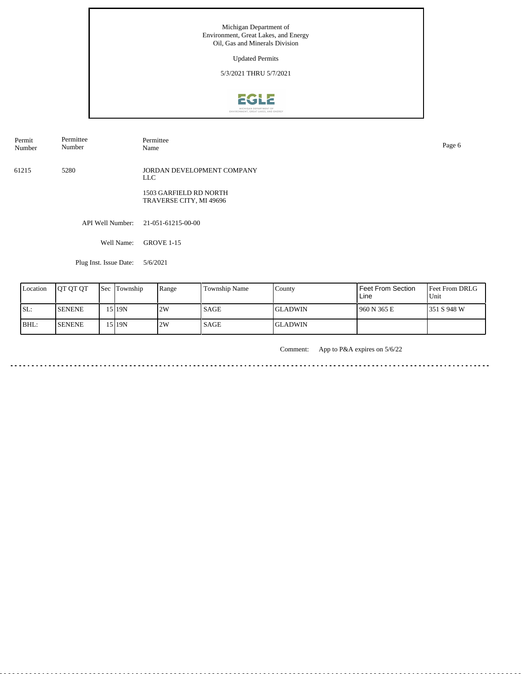Updated Permits

5/3/2021 THRU 5/7/2021



Permit Number Permittee Number Permittee<br>Name Name Page 6

61215 5280 JORDAN DEVELOPMENT COMPANY LLC

> 1503 GARFIELD RD NORTH TRAVERSE CITY, MI 49696

API Well Number: 21-051-61215-00-00

Well Name: GROVE 1-15

Plug Inst. Issue Date: 5/6/2021

| Location | <b>IOT OT OT</b> | Sec | Township | Range | <b>Township Name</b> | County          | l Feet From Section<br>Line | <b>Feet From DRLG</b><br>Unit |
|----------|------------------|-----|----------|-------|----------------------|-----------------|-----------------------------|-------------------------------|
| SL:      | <b>SENENE</b>    |     | 15 I 19N | 2W    | <b>SAGE</b>          | <b>IGLADWIN</b> | 1960 N 365 E                | 1351 S 948 W                  |
| BHL:     | <b>SENENE</b>    |     | 15 I 19N | 2W    | <b>SAGE</b>          | <b>IGLADWIN</b> |                             |                               |

Comment: App to P&A expires on 5/6/22

د د د د د <u>. . . . . . . . .</u>  $\sim$   $\sim$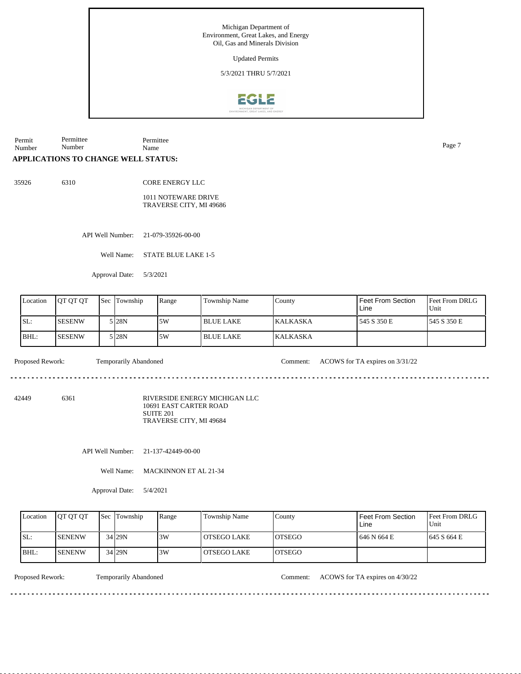Updated Permits

5/3/2021 THRU 5/7/2021



Permit Number Permittee Number Permittee Name Page 7

## **APPLICATIONS TO CHANGE WELL STATUS:**

35926 6310

CORE ENERGY LLC

1011 NOTEWARE DRIVE TRAVERSE CITY, MI 49686

API Well Number: 21-079-35926-00-00

Well Name: STATE BLUE LAKE 1-5

Approval Date: 5/3/2021

| Location | <b>IOT OT OT</b> | l Sec | <b>Township</b> | Range | <b>Township Name</b> | County           | Feet From Section<br>Line | <b>Feet From DRLG</b><br>Unit |
|----------|------------------|-------|-----------------|-------|----------------------|------------------|---------------------------|-------------------------------|
| SL:      | <b>SESENW</b>    |       | 5 I28N          | 5W    | <b>BLUE LAKE</b>     | <b>IKALKASKA</b> | 545 S 350 E               | 1545 S 350 E                  |
| BHL:     | <b>SESENW</b>    |       | 5 I28N          | .5W   | I BLUE LAKE          | <b>KALKASKA</b>  |                           |                               |

Proposed Rework: Temporarily Abandoned Comment: ACOWS for TA expires on 3/31/22

<u>. . . . . . . . .</u>

<u>e e e e e e e e e</u>

42449 6361

RIVERSIDE ENERGY MICHIGAN LLC 10691 EAST CARTER ROAD SUITE 201 TRAVERSE CITY, MI 49684

API Well Number: 21-137-42449-00-00

Well Name: MACKINNON ET AL 21-34

Approval Date: 5/4/2021

| Location | <b>IOT OT OT</b> | <b>Sec</b> | Township | Range | Township Name      | County         | Feet From Section<br>Line | <b>IFeet From DRLG</b><br>Unit |
|----------|------------------|------------|----------|-------|--------------------|----------------|---------------------------|--------------------------------|
| SL:      | <b>I</b> SENENW  |            | 34 29N   | 3W    | <b>OTSEGO LAKE</b> | <b>IOTSEGO</b> | 646 N 664 E               | 1645 S 664 E                   |
| BHL:     | <b>ISENENW</b>   |            | 34 29N   | 3W    | LOTSEGO LAKE       | <b>LOTSEGO</b> |                           |                                |

Proposed Rework: Temporarily Abandoned Comment: ACOWS for TA expires on 4/30/22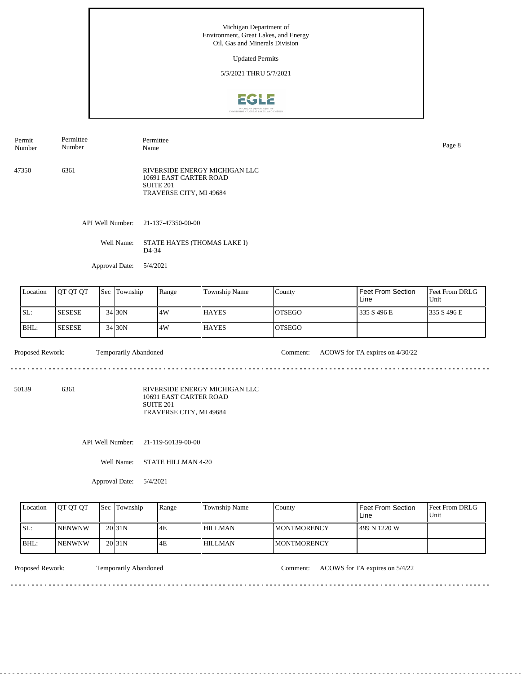Updated Permits

5/3/2021 THRU 5/7/2021



47350 6361 RIVERSIDE ENERGY MICHIGAN LLC 10691 EAST CARTER ROAD SUITE 201 TRAVERSE CITY, MI 49684 Permit Number Permittee Number Permittee Name Page 8

API Well Number: 21-137-47350-00-00

Well Name: STATE HAYES (THOMAS LAKE I) D4-34

Approval Date: 5/4/2021

| Location | <b>OT OT OT</b> | Sec | Township | Range | Township Name | County         | Feet From Section<br>Line | <b>Feet From DRLG</b><br>Unit |
|----------|-----------------|-----|----------|-------|---------------|----------------|---------------------------|-------------------------------|
| SL:      | <b>SESESE</b>   |     | 34 30N   | 14W   | <b>HAYES</b>  | IOTSEGO        | 335 S 496 E               | 1335 S 496 E                  |
| BHL:     | <b>SESESE</b>   |     | 34 30N   | 14W   | <b>HAYES</b>  | <b>IOTSEGO</b> |                           |                               |

Proposed Rework: Temporarily Abandoned Comment: ACOWS for TA expires on 4/30/22

50139 6361

RIVERSIDE ENERGY MICHIGAN LLC 10691 EAST CARTER ROAD SUITE 201 TRAVERSE CITY, MI 49684

API Well Number: 21-119-50139-00-00

Well Name: STATE HILLMAN 4-20

Approval Date: 5/4/2021

| Location | <b>IOT OT OT</b> | <b>Sec Township</b> | Range | Township Name  | County              | <b>Feet From Section</b><br>Line | <b>Feet From DRLG</b><br>Unit |
|----------|------------------|---------------------|-------|----------------|---------------------|----------------------------------|-------------------------------|
| ISL:     | <b>INENWNW</b>   | 20 <sub>31N</sub>   | 4E    | <b>HILLMAN</b> | <b>IMONTMORENCY</b> | 1499 N 1220 W                    |                               |
| BHL:     | <b>INENWNW</b>   | 20 <sub>31N</sub>   | 4E    | <b>HILLMAN</b> | <b>IMONTMORENCY</b> |                                  |                               |

<u>. . . . . . . . .</u>

Proposed Rework: Temporarily Abandoned Comment: ACOWS for TA expires on 5/4/22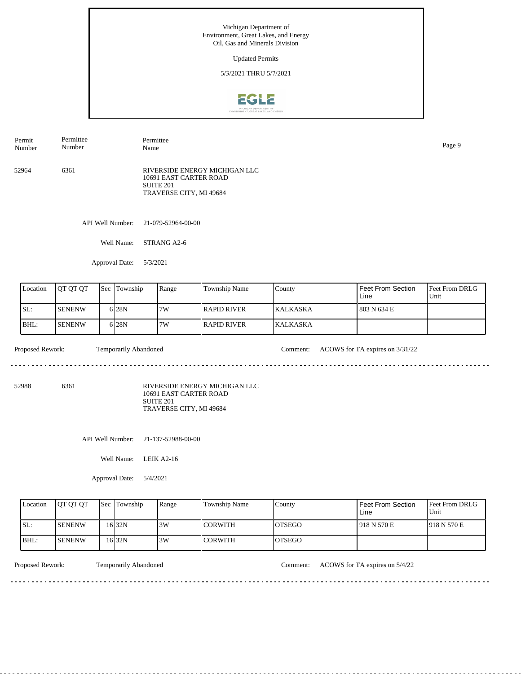Updated Permits

5/3/2021 THRU 5/7/2021



52964 6361 RIVERSIDE ENERGY MICHIGAN LLC 10691 EAST CARTER ROAD SUITE 201 TRAVERSE CITY, MI 49684 Permit Number Permittee Number Permittee Name Page 9

API Well Number: 21-079-52964-00-00

Well Name: STRANG A2-6

Approval Date: 5/3/2021

| Location | <b>IOT OT OT</b> | <b>Sec Township</b> | Range | Township Name        | County           | Feet From Section<br>Line | <b>Feet From DRLG</b><br>Unit |
|----------|------------------|---------------------|-------|----------------------|------------------|---------------------------|-------------------------------|
| SL:      | <b>SENENW</b>    | 6 <sub>28N</sub>    | 7W    | <b>I RAPID RIVER</b> | <b>IKALKASKA</b> | 1 803 N 634 E             |                               |
| BHL:     | <b>ISENENW</b>   | 6 <sub>28N</sub>    | 7W    | <b>I RAPID RIVER</b> | <b>KALKASKA</b>  |                           |                               |

<u>. . . . . . .</u>

Proposed Rework: Temporarily Abandoned Comment: ACOWS for TA expires on  $3/31/22$ 

52988 6361

RIVERSIDE ENERGY MICHIGAN LLC 10691 EAST CARTER ROAD SUITE 201 TRAVERSE CITY, MI 49684

API Well Number: 21-137-52988-00-00

Well Name: LEIK A2-16

Approval Date: 5/4/2021

| Location | <b>IOT OT OT</b> | <b>Sec Township</b> | Range | <b>Township Name</b> | County         | Feet From Section<br>Line | <b>Feet From DRLG</b><br>Unit |
|----------|------------------|---------------------|-------|----------------------|----------------|---------------------------|-------------------------------|
| ISL:     | <b>ISENENW</b>   | 16 32N              | 3W    | <b>CORWITH</b>       | IOTSEGO        | 1918 N 570 E              | 1918 N 570 E                  |
| IBHL:    | <b>ISENENW</b>   | 16 32N              | 3W    | <b>CORWITH</b>       | <b>IOTSEGO</b> |                           |                               |

<u>. . . . . . . . .</u>

Proposed Rework: Temporarily Abandoned Comment: ACOWS for TA expires on 5/4/22

<u>. . . . . . . . . . . . . . .</u>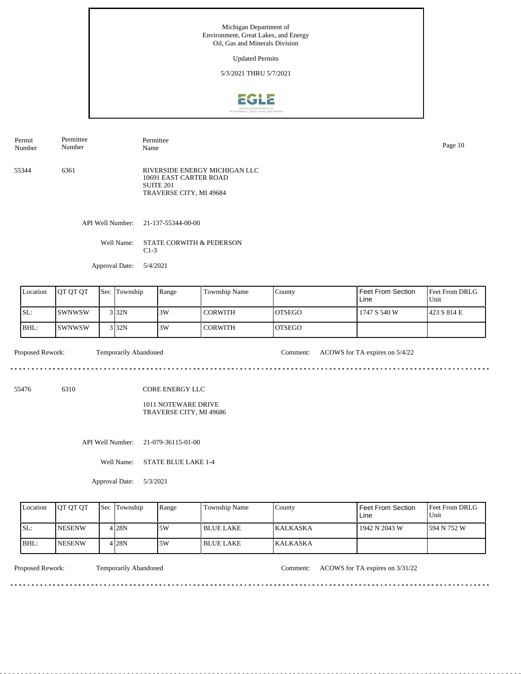Updated Permits

5/3/2021 THRU 5/7/2021



API Well Number: 21-137-55344-00-00 55344 6361 RIVERSIDE ENERGY MICHIGAN LLC 10691 EAST CARTER ROAD SUITE 201 TRAVERSE CITY, MI 49684 Permit Number Permittee Number Permittee Name Page 10

Well Name: STATE CORWITH & PEDERSON

C1-3

Approval Date: 5/4/2021

| Location | <b>IOT OT OT</b> | Sec | Township | Range | l Township Name | County         | Feet From Section<br>Line | <b>Feet From DRLG</b><br>Unit |
|----------|------------------|-----|----------|-------|-----------------|----------------|---------------------------|-------------------------------|
| ISL:     | <b>SWNWSW</b>    |     | 3 32N    | 3W    | l CORWITH       | IOTSEGO        | 1747 S 540 W              | 1423 S 814 E                  |
| BHL:     | <b>SWNWSW</b>    |     | 3 32N    | 3W    | l CORWITH       | <b>IOTSEGO</b> |                           |                               |

Proposed Rework: Temporarily Abandoned Comment: ACOWS for TA expires on 5/4/22 

55476 6310 CORE ENERGY LLC

> 1011 NOTEWARE DRIVE TRAVERSE CITY, MI 49686

API Well Number: 21-079-36115-01-00

Well Name: STATE BLUE LAKE 1-4

Approval Date: 5/3/2021

| Location | <b>IOT OT OT</b> | <b>Sec Township</b> | Range | <b>Township Name</b> | Countv          | Feet From Section<br>Line | <b>Feet From DRLG</b><br>Unit |
|----------|------------------|---------------------|-------|----------------------|-----------------|---------------------------|-------------------------------|
| ISL:     | <b>NESENW</b>    | 4 28N               | .5W   | I BLUE LAKE-         | <b>KALKASKA</b> | 1942 N 2043 W             | 1594 N 752 W                  |
| BHL:     | <b>INESENW</b>   | 4 28N               | 5W    | l BLUE LAKE          | KALKASKA        |                           |                               |

<u>. . . . . . . . .</u>

Proposed Rework: Temporarily Abandoned Comment: ACOWS for TA expires on 3/31/22

------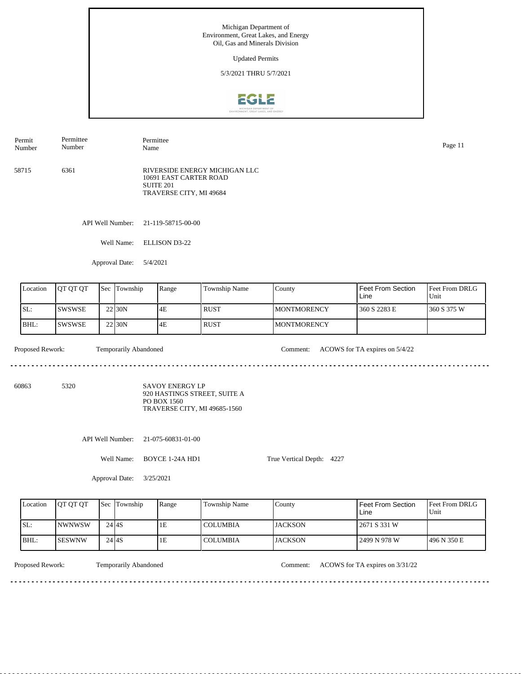5/3/2021 THRU 5/7/2021



58715 6361 RIVERSIDE ENERGY MICHIGAN LLC 10691 EAST CARTER ROAD SUITE 201 TRAVERSE CITY, MI 49684 Permit Number Permittee Number Permittee Name Page 11

API Well Number: 21-119-58715-00-00

Well Name: ELLISON D3-22

Approval Date: 5/4/2021

| Location | <b>IOT OT OT</b> | 'Sec | Township            | Range | Township Name | County              | Feet From Section<br>Line | <b>Feet From DRLG</b><br>Unit |
|----------|------------------|------|---------------------|-------|---------------|---------------------|---------------------------|-------------------------------|
| SL:      | ISWSWSE          |      | 22 <sub>130</sub> N | 4E    | <b>RUST</b>   | <b>IMONTMORENCY</b> | 360 S 2283 E              | 1360 S 375 W                  |
| BHL:     | ISWSWSE          |      | 22 <sub>130</sub> N | 4E    | <b>RUST</b>   | <b>IMONTMORENCY</b> |                           |                               |

. . . . . . . . . . . . . . . . .

<u>. . . . . . .</u>

Proposed Rework: Temporarily Abandoned Comment: ACOWS for TA expires on 5/4/22

60863 5320

SAVOY ENERGY LP 920 HASTINGS STREET, SUITE A PO BOX 1560 TRAVERSE CITY, MI 49685-1560

API Well Number: 21-075-60831-01-00

Well Name: BOYCE 1-24A HD1

True Vertical Depth: 4227

Approval Date: 3/25/2021

| Location | <b>IOT OT OT</b> |           | <b>Sec Township</b> | Range | <b>Township Name</b> | County         | Feet From Section<br>Line | <b>Feet From DRLG</b><br>Unit |
|----------|------------------|-----------|---------------------|-------|----------------------|----------------|---------------------------|-------------------------------|
| ISL:     | <b>INWNWSW</b>   |           | $24$ $4S$           | ΙE    | <b>COLUMBIA</b>      | <b>JACKSON</b> | 2671 S 331 W              |                               |
| IBHL:    | ISESWNW          | $24$ $4S$ |                     | 1E    | <b>COLUMBIA</b>      | <b>JACKSON</b> | 2499 N 978 W              | 496 N 350 E                   |

Temporarily Abandoned

Proposed Rework: Temporarily Abandoned Comment: ACOWS for TA expires on  $3/31/22$ 

. . . . . . . . . . . . . . . .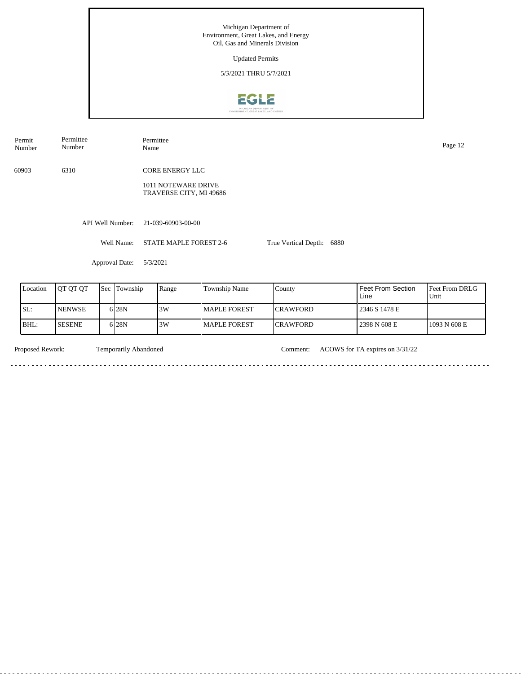Michigan Department of Environment, Great Lakes, and Energy Oil, Gas and Minerals Division Updated Permits 5/3/2021 THRU 5/7/2021**EGLE** Permittee

| Number   | Number   |                  |                | Name     |                                                |               |                      |      |                   | Page 12                |  |
|----------|----------|------------------|----------------|----------|------------------------------------------------|---------------|----------------------|------|-------------------|------------------------|--|
| 60903    | 6310     |                  |                |          | <b>CORE ENERGY LLC</b>                         |               |                      |      |                   |                        |  |
|          |          |                  |                |          | 1011 NOTEWARE DRIVE<br>TRAVERSE CITY, MI 49686 |               |                      |      |                   |                        |  |
|          |          | API Well Number: |                |          | 21-039-60903-00-00                             |               |                      |      |                   |                        |  |
|          |          |                  | Well Name:     |          | STATE MAPLE FOREST 2-6                         |               | True Vertical Depth: | 6880 |                   |                        |  |
|          |          |                  | Approval Date: | 5/3/2021 |                                                |               |                      |      |                   |                        |  |
| Location | QT QT QT | Sec              | Township       |          | Range                                          | Township Name | County               |      | Feet From Section | Feet From D<br>$- - -$ |  |

| Location | <b>JOT OT OT</b> | <b>Sec Township</b> | Range | Township Name  | County           | Feet From Section<br>Line | <b>I</b> Feet From DRLG<br>'Unit |
|----------|------------------|---------------------|-------|----------------|------------------|---------------------------|----------------------------------|
| SL:      | <b>INENWSE</b>   | 6 28 N              | 3W    | l MAPLE FOREST | <b>ICRAWFORD</b> | 2346 S 1478 E             |                                  |
| BHL:     | <b>SESENE</b>    | 6 28 N              | 3W    | l MAPLE FOREST | <b>ICRAWFORD</b> | 2398 N 608 E              | 1093 N 608 E                     |

Permit

Permittee

Temporarily Abandoned

 $\sim$   $\sim$ 

Proposed Rework: Temporarily Abandoned Comment: ACOWS for TA expires on  $3/31/22$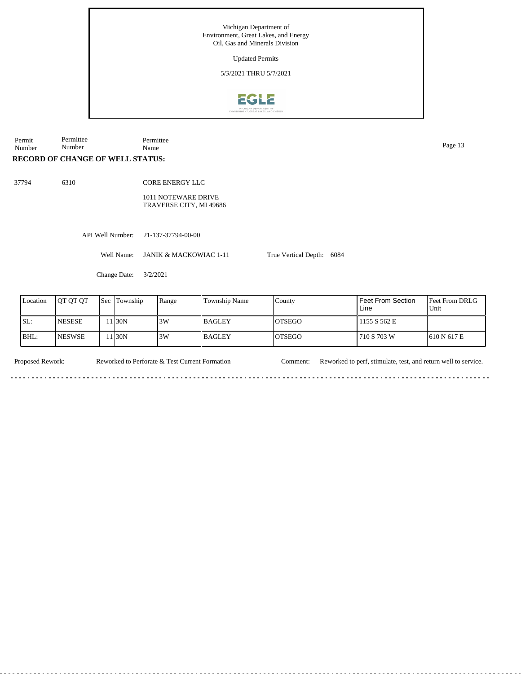

Permit Number Permittee Number Permittee Page 13<br>Name Page 13

## **RECORD OF CHANGE OF WELL STATUS:**

37794 6310

<u>. . . . . . .</u>

CORE ENERGY LLC 1011 NOTEWARE DRIVE TRAVERSE CITY, MI 49686

API Well Number: 21-137-37794-00-00

Well Name: JANIK & MACKOWIAC 1-11

Change Date: 3/2/2021

| Location | <b>IOT OT OT</b> | <b>Sec</b> Township | Range | <b>Township Name</b> | County         | Feet From Section<br>Line | <b>Feet From DRLG</b><br>Unit |
|----------|------------------|---------------------|-------|----------------------|----------------|---------------------------|-------------------------------|
| ISL:     | <b>INESESE</b>   | 1 30N               | 3W    | <b>BAGLEY</b>        | <b>IOTSEGO</b> | 1155 S 562 E              |                               |
| IBHL:    | <b>INESWSE</b>   | 1 30N               | 3W    | <b>BAGLEY</b>        | <b>IOTSEGO</b> | 710 S 703 W               | 1610 N 617 E                  |

True Vertical Depth: 6084

<u>. . . . . . . . . . . . .</u>

Proposed Rework: Reworked to Perforate & Test Current Formation Comment: Reworked to perf, stimulate, test, and return well to service. Reworked to Perforate & Test Current Formation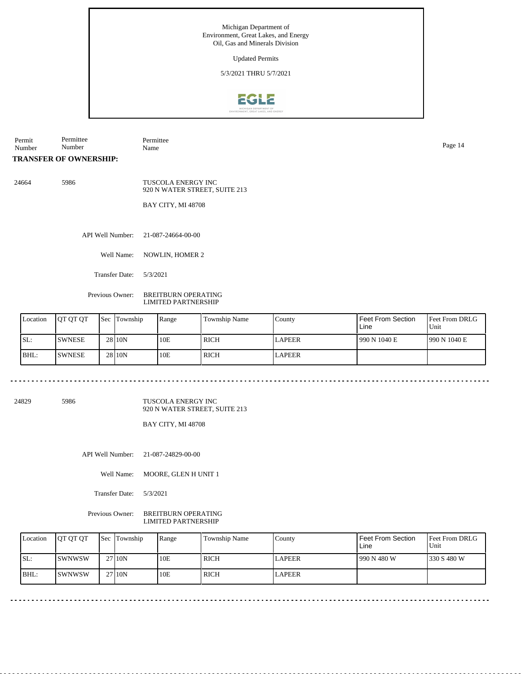Updated Permits

5/3/2021 THRU 5/7/2021



Permit Number Permittee Number Permittee Name Page 14

**TRANSFER OF OWNERSHIP:**

24664 5986

TUSCOLA ENERGY INC 920 N WATER STREET, SUITE 213

BAY CITY, MI 48708

API Well Number: 21-087-24664-00-00

Well Name: NOWLIN, HOMER 2

Transfer Date: 5/3/2021

Previous Owner: BREITBURN OPERATING LIMITED PARTNERSHIP

| Location | <b>OT OT OT</b> | <b>Sec Township</b> | Range | <b>Township Name</b> | Countv        | Feet From Section<br>Line | <b>Feet From DRLG</b><br>Unit |
|----------|-----------------|---------------------|-------|----------------------|---------------|---------------------------|-------------------------------|
| SL:      | <b>SWNESE</b>   | 28110N              | 10E   | <b>RICH</b>          | <b>LAPEER</b> | 1990 N 1040 E             | 1990 N 1040 E                 |
| BHL:     | <b>SWNESE</b>   | 28 10N              | 10E   | RICH                 | <b>LAPEER</b> |                           |                               |

 $- - - - -$ 

24829 5986

TUSCOLA ENERGY INC 920 N WATER STREET, SUITE 213

BAY CITY, MI 48708

API Well Number: 21-087-24829-00-00

Well Name: MOORE, GLEN H UNIT 1

Transfer Date: 5/3/2021

Previous Owner: BREITBURN OPERATING LIMITED PARTNERSHIP

| Location | <b>IOT OT OT</b> | Sec Township | Range | Township Name | County        | Feet From Section<br>Line | Feet From DRLG<br>Unit |
|----------|------------------|--------------|-------|---------------|---------------|---------------------------|------------------------|
| SL:      | ISWNWSW          | 27110N       | 10E   | l rich        | <b>LAPEER</b> | 990 N 480 W               | 330 S 480 W            |
| BHL:     | ISWNWSW          | 27 10N       | 10E   | l rich        | <b>LAPEER</b> |                           |                        |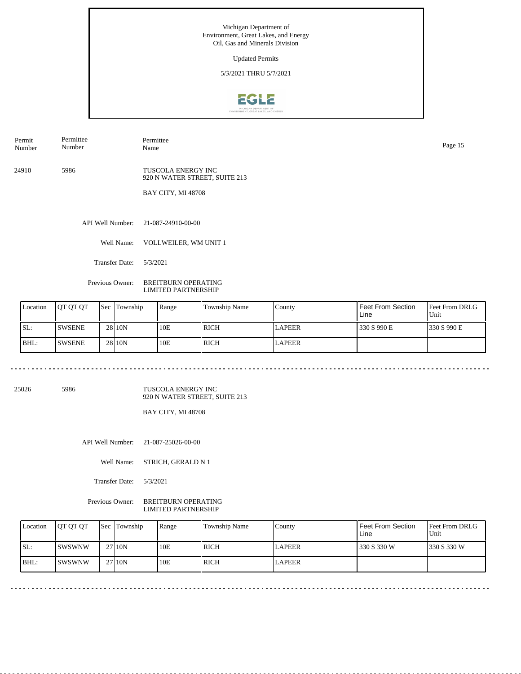Updated Permits

5/3/2021 THRU 5/7/2021



Permit Number Permittee Number

Permittee Name Page 15

24910 5986

TUSCOLA ENERGY INC 920 N WATER STREET, SUITE 213

BAY CITY, MI 48708

API Well Number: 21-087-24910-00-00

Well Name: VOLLWEILER, WM UNIT 1

Transfer Date: 5/3/2021

<u>. . . . . . . .</u>

Previous Owner: BREITBURN OPERATING LIMITED PARTNERSHIP

| Location | <b>IOT OT OT</b> | <b>Sec Township</b> | Range | <b>Township Name</b> | County        | Feet From Section<br>Line | <b>Feet From DRLG</b><br>Unit |
|----------|------------------|---------------------|-------|----------------------|---------------|---------------------------|-------------------------------|
| SL:      | <b>SWSENE</b>    | 2810 <sub>N</sub>   | 10E   | <b>RICH</b>          | <b>LAPEER</b> | 330 S 990 E               | 330 S 990 E                   |
| BHL:     | <b>SWSENE</b>    | 2810 <sub>N</sub>   | 10E   | <b>RICH</b>          | <b>LAPEER</b> |                           |                               |

25026 5986

TUSCOLA ENERGY INC 920 N WATER STREET, SUITE 213

. . . . . . . . . . . . . . . . .

BAY CITY, MI 48708

API Well Number: 21-087-25026-00-00

Well Name: STRICH, GERALD N 1

Transfer Date: 5/3/2021

Previous Owner: BREITBURN OPERATING LIMITED PARTNERSHIP

| Location | <b>IOT OT OT</b> | Sec Township | Range | Township Name | County        | Feet From Section<br>Line | <b>Feet From DRLG</b><br>Unit |
|----------|------------------|--------------|-------|---------------|---------------|---------------------------|-------------------------------|
| SL:      | <b>ISWSWNW</b>   | 27 10N       | 10E   | RICH          | <b>LAPEER</b> | 330 S 330 W               | 330 S 330 W                   |
| $IBHL$ : | ISWSWNW          | 27110N       | 10E   | RICH          | LAPEER        |                           |                               |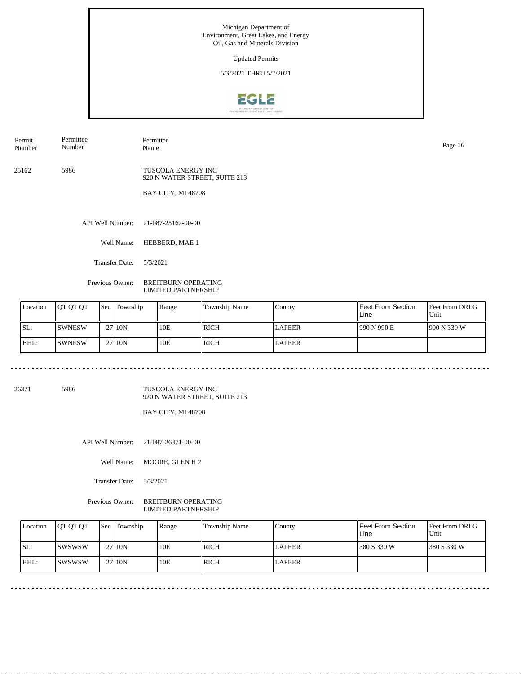Updated Permits

5/3/2021 THRU 5/7/2021



Permit Number Permittee Number

Permittee Name Page 16

25162 5986

TUSCOLA ENERGY INC 920 N WATER STREET, SUITE 213

BAY CITY, MI 48708

API Well Number: 21-087-25162-00-00

Well Name: HEBBERD, MAE 1

Transfer Date: 5/3/2021

Previous Owner: BREITBURN OPERATING LIMITED PARTNERSHIP

| Location | <b>IOT OT OT</b> | <b>Sec Township</b> | Range | <b>Township Name</b> | County        | Feet From Section<br>Line | <b>Feet From DRLG</b><br>Unit |
|----------|------------------|---------------------|-------|----------------------|---------------|---------------------------|-------------------------------|
| SL:      | <b>SWNESW</b>    | 27110N              | 10E   | <b>RICH</b>          | <b>LAPEER</b> | 990 N 990 E               | 1990 N 330 W                  |
| BHL:     | <b>ISWNESW</b>   | 27 10N              | 10E   | <b>RICH</b>          | <b>LAPEER</b> |                           |                               |

26371 5986

TUSCOLA ENERGY INC 920 N WATER STREET, SUITE 213

BAY CITY, MI 48708

API Well Number: 21-087-26371-00-00

Well Name: MOORE, GLEN H 2

Transfer Date: 5/3/2021

Previous Owner: BREITBURN OPERATING LIMITED PARTNERSHIP

| Location | <b>IOT OT OT</b> | <b>Sec</b> Township | Range | Township Name | County        | Feet From Section<br>Line | <b>Feet From DRLG</b><br>Unit |
|----------|------------------|---------------------|-------|---------------|---------------|---------------------------|-------------------------------|
| SL:      | Iswswsw          | 27 10N              | 10E   | <b>RICH</b>   | <b>LAPEER</b> | 380 S 330 W               | 1380 S 330 W                  |
| $IBHL$ : | ISWSWSW          | 27 10N              | 10E   | <b>RICH</b>   | <b>LAPEER</b> |                           |                               |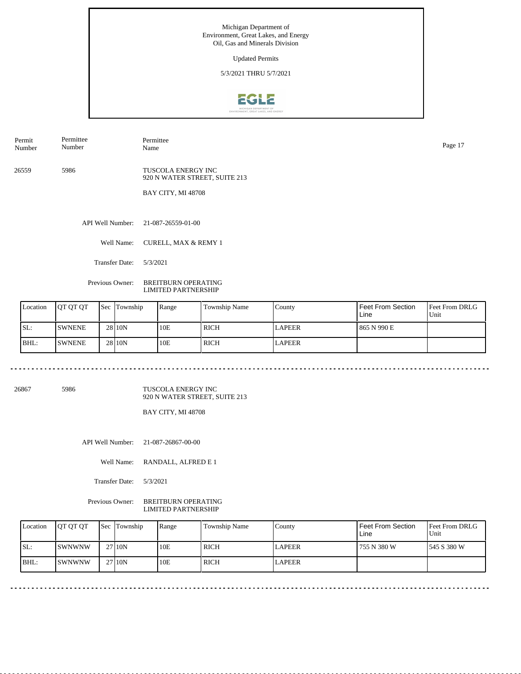Updated Permits

5/3/2021 THRU 5/7/2021



Permit Number Permittee Number

Permittee Name Page 17

26559 5986

TUSCOLA ENERGY INC 920 N WATER STREET, SUITE 213

BAY CITY, MI 48708

API Well Number: 21-087-26559-01-00

Well Name: CURELL, MAX & REMY 1

Transfer Date: 5/3/2021

Previous Owner: BREITBURN OPERATING LIMITED PARTNERSHIP

|     | Location | <b>OT OT OT</b> | <b>Sec Township</b> | Range | <b>Township Name</b> | County        | <b>Feet From Section</b><br>Line | <b>Feet From DRLG</b><br>Unit |
|-----|----------|-----------------|---------------------|-------|----------------------|---------------|----------------------------------|-------------------------------|
| SL: |          | <b>SWNENE</b>   | 28 <sub>10</sub> N  | 10E   | RICH                 | <b>LAPEER</b> | 865 N 990 E                      |                               |
|     | BHL:     | <b>SWNENE</b>   | 28 <sub>10</sub> N  | 10E   | <b>RICH</b>          | <b>LAPEER</b> |                                  |                               |

26867 5986

TUSCOLA ENERGY INC 920 N WATER STREET, SUITE 213

BAY CITY, MI 48708

API Well Number: 21-087-26867-00-00

Well Name: RANDALL, ALFRED E 1

Transfer Date: 5/3/2021

Previous Owner: BREITBURN OPERATING LIMITED PARTNERSHIP

| Location | <b>IOT OT OT</b> | <b>Sec Township</b> | Range | Township Name | County | Feet From Section<br>Line | Feet From DRLG<br>Unit |
|----------|------------------|---------------------|-------|---------------|--------|---------------------------|------------------------|
| SL:      | ISWNWNW          | 27 10N              | 10E   | ' RICH        | LAPEER | ' 755 N 380 W             | 1545 S 380 W           |
| $IBHL$ : | <b>SWNWNW</b>    | 27110N              | 10E   | RICH          | LAPEER |                           |                        |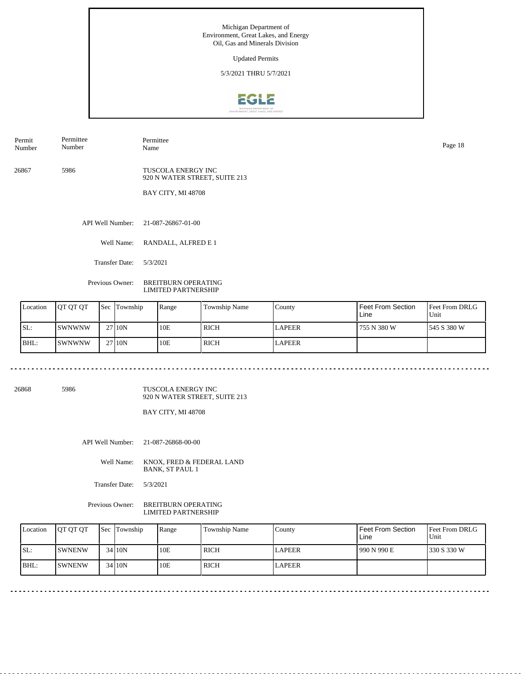Updated Permits

5/3/2021 THRU 5/7/2021



Permit Number Permittee Number

Permittee Name Page 18

26867 5986

TUSCOLA ENERGY INC 920 N WATER STREET, SUITE 213

BAY CITY, MI 48708

API Well Number: 21-087-26867-01-00

Well Name: RANDALL, ALFRED E 1

Transfer Date: 5/3/2021

Previous Owner: BREITBURN OPERATING LIMITED PARTNERSHIP

| Location | <b>OT OT OT</b> | <b>Sec Township</b> | Range | Township Name | County        | Feet From Section<br>Line | <b>Feet From DRLG</b><br>Unit |
|----------|-----------------|---------------------|-------|---------------|---------------|---------------------------|-------------------------------|
| SL:      | ISWNWNW         | 27110N              | 10E   | <b>RICH</b>   | <b>LAPEER</b> | 755 N 380 W               | 1545 S 380 W                  |
| BHL:     | ISWNWNW         | 27110N              | 10E   | <b>RICH</b>   | <b>LAPEER</b> |                           |                               |

26868 5986

TUSCOLA ENERGY INC 920 N WATER STREET, SUITE 213

BAY CITY, MI 48708

API Well Number: 21-087-26868-00-00

Well Name: KNOX, FRED & FEDERAL LAND BANK, ST PAUL 1

Transfer Date: 5/3/2021

Previous Owner: BREITBURN OPERATING LIMITED PARTNERSHIP

| Location | <b>OT OT OT</b> | <b>Sec Township</b> | Range | Township Name | County        | Feet From Section<br>Line | <b>Feet From DRLG</b><br>Unit |
|----------|-----------------|---------------------|-------|---------------|---------------|---------------------------|-------------------------------|
| SL:      | <b>ISWNENW</b>  | 34 10N              | 10E   | RICH          | <b>LAPEER</b> | 1990 N 990 E              | 1330 S 330 W                  |
| BHL:     | <b>ISWNENW</b>  | 34110N              | 10E   | <b>RICH</b>   | <b>LAPEER</b> |                           |                               |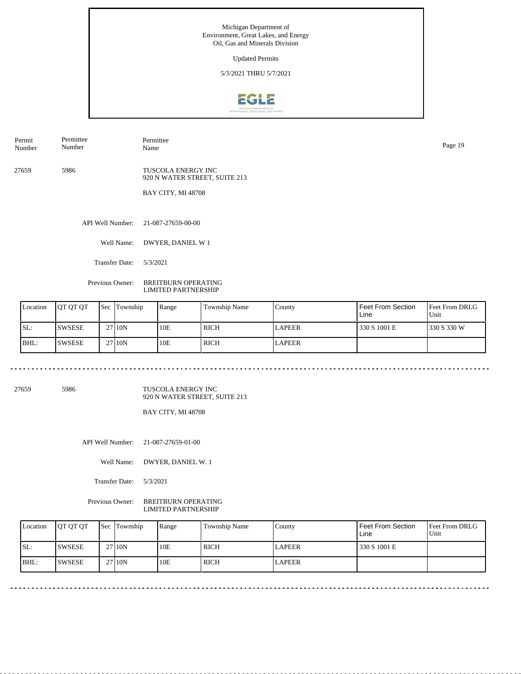Updated Permits

5/3/2021 THRU 5/7/2021



Permit Number Permittee Number

Permittee Name Page 19

27659 5986

TUSCOLA ENERGY INC 920 N WATER STREET, SUITE 213

BAY CITY, MI 48708

API Well Number: 21-087-27659-00-00

Well Name: DWYER, DANIEL W 1

Transfer Date: 5/3/2021

Previous Owner: BREITBURN OPERATING LIMITED PARTNERSHIP

| Location | <b>IOT OT OT</b> | <b>Sec Township</b> | Range | <b>Township Name</b> | County        | Feet From Section<br>Line | <b>Feet From DRLG</b><br>Unit |
|----------|------------------|---------------------|-------|----------------------|---------------|---------------------------|-------------------------------|
| SL:      | <b>ISWSESE</b>   | 27110N              | 10E   | <b>RICH</b>          | <b>LAPEER</b> | 330 S 1001 E              | 1330 S 330 W                  |
| BHL:     | <b>SWSESE</b>    | 27 10N              | 10E   | <b>RICH</b>          | <b>LAPEER</b> |                           |                               |

27659 5986

TUSCOLA ENERGY INC 920 N WATER STREET, SUITE 213

<u>. . . . . . . . .</u>

<u>. . . . . . . . .</u>

BAY CITY, MI 48708

API Well Number: 21-087-27659-01-00

<u>. . . . . . . . .</u>

Well Name: DWYER, DANIEL W. 1

Transfer Date: 5/3/2021

Previous Owner: BREITBURN OPERATING LIMITED PARTNERSHIP

| Location | <b>IOT OT OT</b> | <b>Sec Township</b> | Range | Township Name | County        | Feet From Section<br>Line | <b>Feet From DRLG</b><br>Unit |
|----------|------------------|---------------------|-------|---------------|---------------|---------------------------|-------------------------------|
| ISL:     | ISWSESE          | 2710N               | 10E   | <b>RICH</b>   | <b>LAPEER</b> | 330 S 1001 E              |                               |
| BHL:     | <b>ISWSESE</b>   | 2710N               | 10E   | <b>RICH</b>   | <b>LAPEER</b> |                           |                               |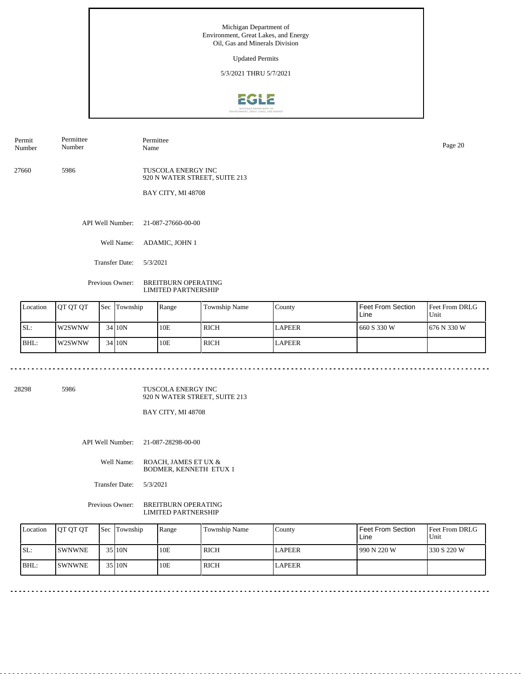Updated Permits

5/3/2021 THRU 5/7/2021



Permit Number Permittee Number

Permittee Name Page 20

27660 5986

TUSCOLA ENERGY INC 920 N WATER STREET, SUITE 213

BAY CITY, MI 48708

API Well Number: 21-087-27660-00-00

Well Name: ADAMIC, JOHN 1

Transfer Date: 5/3/2021

Previous Owner: BREITBURN OPERATING LIMITED PARTNERSHIP

| Location | <b>OT OT OT</b> | <b>Sec Township</b> | Range | Township Name | County        | Feet From Section<br>Line | <b>Feet From DRLG</b><br>Unit |
|----------|-----------------|---------------------|-------|---------------|---------------|---------------------------|-------------------------------|
| SL:      | l w2SWNW        | 3410N               | 10E   | <b>RICH</b>   | <b>LAPEER</b> | 660 S 330 W               | 1676 N 330 W                  |
| BHL:     | W2SWNW          | 3410 <sub>N</sub>   | 10E   | <b>RICH</b>   | <b>LAPEER</b> |                           |                               |

28298 5986

TUSCOLA ENERGY INC 920 N WATER STREET, SUITE 213

BAY CITY, MI 48708

API Well Number: 21-087-28298-00-00

Well Name: ROACH, JAMES ET UX & BODMER, KENNETH ETUX 1

Transfer Date: 5/3/2021

Previous Owner: BREITBURN OPERATING LIMITED PARTNERSHIP

| Location | <b>OT OT OT</b> | <b>Sec Township</b> | Range | <b>Township Name</b> | Countv        | <b>Feet From Section</b><br>Line | <b>Feet From DRLG</b><br>Unit |
|----------|-----------------|---------------------|-------|----------------------|---------------|----------------------------------|-------------------------------|
| SL:      | <b>ISWNWNE</b>  | 35 10N              | 10E   | <b>RICH</b>          | LAPEER        | 990 N 220 W                      | 1330 S 220 W                  |
| $IBHL$ : | <b>ISWNWNE</b>  | 35 10N              | 10E   | <b>RICH</b>          | <b>LAPEER</b> |                                  |                               |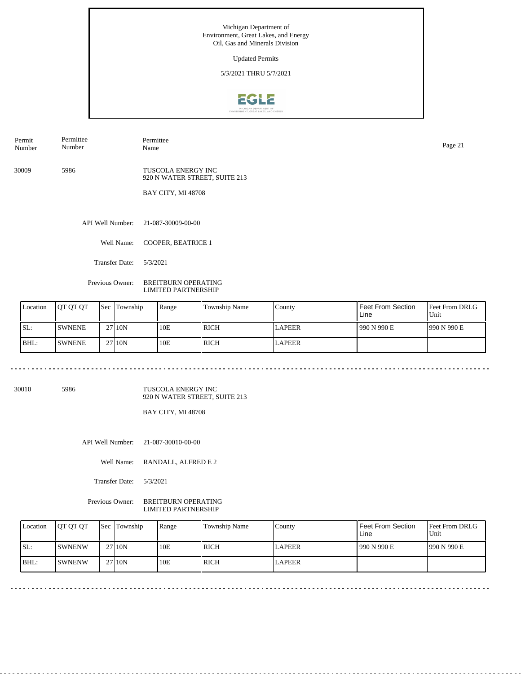Updated Permits

5/3/2021 THRU 5/7/2021



Permit Number Permittee Number

Permittee

30009 5986

TUSCOLA ENERGY INC 920 N WATER STREET, SUITE 213

BAY CITY, MI 48708

API Well Number: 21-087-30009-00-00

Well Name: COOPER, BEATRICE 1

Transfer Date: 5/3/2021

Previous Owner: BREITBURN OPERATING LIMITED PARTNERSHIP

| Location | <b>OT OT OT</b> | <b>Sec Township</b> | Range | Township Name | County        | Feet From Section<br>Line | <b>Feet From DRLG</b><br>Unit |
|----------|-----------------|---------------------|-------|---------------|---------------|---------------------------|-------------------------------|
| SL:      | <b>SWNENE</b>   | 27110N              | 10E   | <b>RICH</b>   | <b>LAPEER</b> | 1990 N 990 E              | 1990 N 990 E                  |
| BHL:     | <b>SWNENE</b>   | 27110N              | 10E   | <b>RICH</b>   | <b>LAPEER</b> |                           |                               |

30010 5986

TUSCOLA ENERGY INC 920 N WATER STREET, SUITE 213

BAY CITY, MI 48708

API Well Number: 21-087-30010-00-00

Well Name: RANDALL, ALFRED E 2

Transfer Date: 5/3/2021

Previous Owner: BREITBURN OPERATING LIMITED PARTNERSHIP

| Location | <b>IOT OT OT</b> | Sec Township | Range | Township Name | County | Feet From Section<br>∟ine | <b>Feet From DRLG</b><br>Unit |
|----------|------------------|--------------|-------|---------------|--------|---------------------------|-------------------------------|
| ISL:     | <b>ISWNENW</b>   | 27 10N       | 10E   | <b>RICH</b>   | LAPEER | 990 N 990 E               | 1990 N 990 E                  |
| BHL:     | <b>ISWNENW</b>   | 27 10N       | 10E   | <b>RICH</b>   | LAPEER |                           |                               |

Name Page 21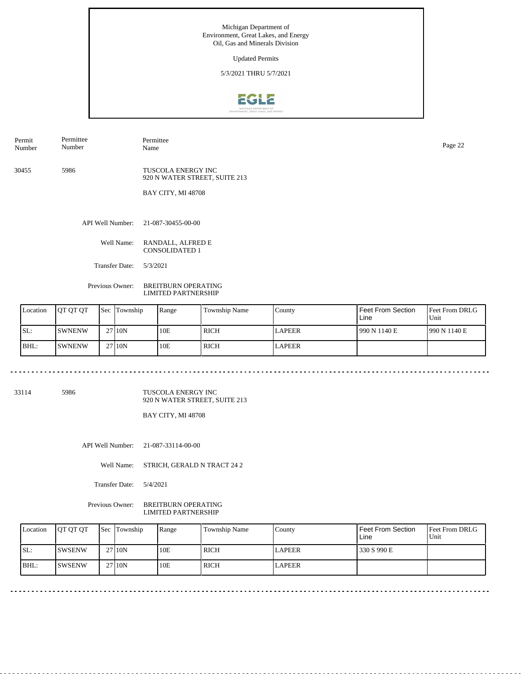Updated Permits

5/3/2021 THRU 5/7/2021



Permit Number Permittee Page 22<br>Name Page 22

30455 5986

Permittee Number

> TUSCOLA ENERGY INC 920 N WATER STREET, SUITE 213

BAY CITY, MI 48708

API Well Number: 21-087-30455-00-00

Well Name: RANDALL, ALFRED E CONSOLIDATED 1

Transfer Date: 5/3/2021

Previous Owner: BREITBURN OPERATING LIMITED PARTNERSHIP

| Location | <b>OT OT OT</b> | <b>Sec Township</b> | Range | Township Name | County        | Feet From Section<br>Line | <b>Feet From DRLG</b><br>Unit |
|----------|-----------------|---------------------|-------|---------------|---------------|---------------------------|-------------------------------|
| SL:      | <b>SWNENW</b>   | 27 10N              | 10E   | <b>RICH</b>   | <b>LAPEER</b> | 990 N 1140 E              | 990 N 1140 E                  |
| BHL:     | <b>SWNENW</b>   | 27110N              | 10E   | <b>RICH</b>   | <b>LAPEER</b> |                           |                               |

 $\sim$   $\sim$   $\sim$ 

33114 5986

. . . . . . . . . . . . . .

TUSCOLA ENERGY INC 920 N WATER STREET, SUITE 213

BAY CITY, MI 48708

API Well Number: 21-087-33114-00-00

Well Name: STRICH, GERALD N TRACT 24 2

Transfer Date: 5/4/2021

Previous Owner: BREITBURN OPERATING LIMITED PARTNERSHIP

| Location | <b>OT OT OT</b> | <b>Sec Township</b> | Range | Township Name | County        | Feet From Section<br>Line | <b>Feet From DRLG</b><br>Unit |
|----------|-----------------|---------------------|-------|---------------|---------------|---------------------------|-------------------------------|
| SL:      | <b>ISWSENW</b>  | 27 10N              | 10E   | <b>RICH</b>   | <b>LAPEER</b> | 330 S 990 E               |                               |
| $IBHL$ : | <b>ISWSENW</b>  | 27 10N              | 10E   | RICH          | <b>LAPEER</b> |                           |                               |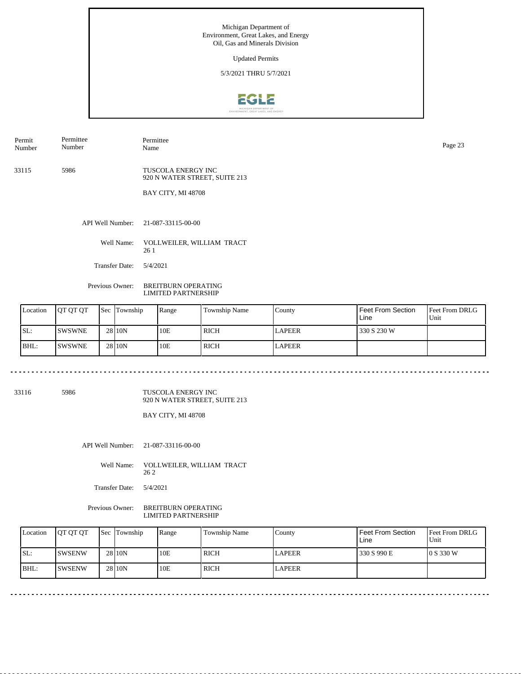Updated Permits

5/3/2021 THRU 5/7/2021



Permit Number Permittee Number

Permittee Page 23<br>Name Page 23

33115 5986 TUSCOLA ENERGY INC 920 N WATER STREET, SUITE 213

BAY CITY, MI 48708

API Well Number: 21-087-33115-00-00

Well Name: VOLLWEILER, WILLIAM TRACT 26 1

Transfer Date: 5/4/2021

<u>. . . . . . . . . . . . . . . . . . .</u>

Previous Owner: BREITBURN OPERATING LIMITED PARTNERSHIP

| Location | <b>OT OT OT</b> | <b>Sec</b> Township | Range | Township Name | County        | Feet From Section<br>Line | <b>Feet From DRLG</b><br>Unit |
|----------|-----------------|---------------------|-------|---------------|---------------|---------------------------|-------------------------------|
| SL:      | ISWSWNE         | 28 10N              | 10E   | l rich        | <b>LAPEER</b> | 330 S 230 W               |                               |
| BHL:     | <b>SWSWNE</b>   | 28 10N              | 10E   | <b>RICH</b>   | <b>LAPEER</b> |                           |                               |

33116 5986

TUSCOLA ENERGY INC 920 N WATER STREET, SUITE 213

 $\sim$ 

BAY CITY, MI 48708

API Well Number: 21-087-33116-00-00

Well Name: VOLLWEILER, WILLIAM TRACT 26 2

Transfer Date: 5/4/2021

Previous Owner: BREITBURN OPERATING LIMITED PARTNERSHIP

| Location | <b>IOT OT OT</b> | <b>Sec</b> Township | Range | Township Name | County        | <b>Feet From Section</b><br>Line | <b>Feet From DRLG</b><br>Unit |
|----------|------------------|---------------------|-------|---------------|---------------|----------------------------------|-------------------------------|
| SL:      | ISWSENW          | 28 <sub>10N</sub>   | 10E   | l rich        | <b>LAPEER</b> | 330 S 990 E                      | 10 S 330 W                    |
| IBHL     | ISWSENW          | 28 <sub>10N</sub>   | 10E   | l rich        | <b>LAPEER</b> |                                  |                               |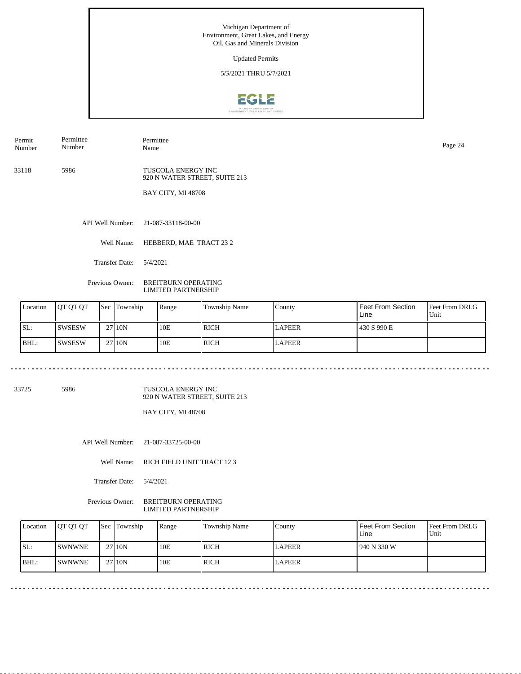Updated Permits

5/3/2021 THRU 5/7/2021



Permit Number Permittee Number

Permittee Name Page 24

33118 5986 TUSCOLA ENERGY INC 920 N WATER STREET, SUITE 213

BAY CITY, MI 48708

API Well Number: 21-087-33118-00-00

Well Name: HEBBERD, MAE TRACT 23 2

Transfer Date: 5/4/2021

<u>. . . . . . . . .</u>

Previous Owner: BREITBURN OPERATING LIMITED PARTNERSHIP

| Location | <b>JOT OT OT</b> | <b>Sec</b> | Township           | Range | Township Name | County        | <b>Feet From Section</b><br>Line | <b>Feet From DRLG</b><br>Unit |
|----------|------------------|------------|--------------------|-------|---------------|---------------|----------------------------------|-------------------------------|
| SL:      | <b>SWSESW</b>    |            | 27110N             | 10E   | RICH          | <b>LAPEER</b> | 430 S 990 E                      |                               |
| BHL:     | ISWSESW          |            | 27 <sub>10</sub> N | 10E   | RICH          | <b>LAPEER</b> |                                  |                               |

33725 5986

TUSCOLA ENERGY INC 920 N WATER STREET, SUITE 213

. . . . . . . . . . . . . . . . .

BAY CITY, MI 48708

API Well Number: 21-087-33725-00-00

Well Name: RICH FIELD UNIT TRACT 12 3

Transfer Date: 5/4/2021

Previous Owner: BREITBURN OPERATING LIMITED PARTNERSHIP

| Location | <b>IOT OT OT</b> | Sec Township | Range | Township Name | County | Feet From Section<br>Line | <b>Feet From DRLG</b><br>Unit |
|----------|------------------|--------------|-------|---------------|--------|---------------------------|-------------------------------|
| SL:      | <b>ISWNWNE</b>   | 27 10N       | 10E   | ' RICH        | LAPEER | 1940 N 330 W              |                               |
| IBHL:    | <b>ISWNWNE</b>   | 27110N       | 10E   | RICH          | LAPEER |                           |                               |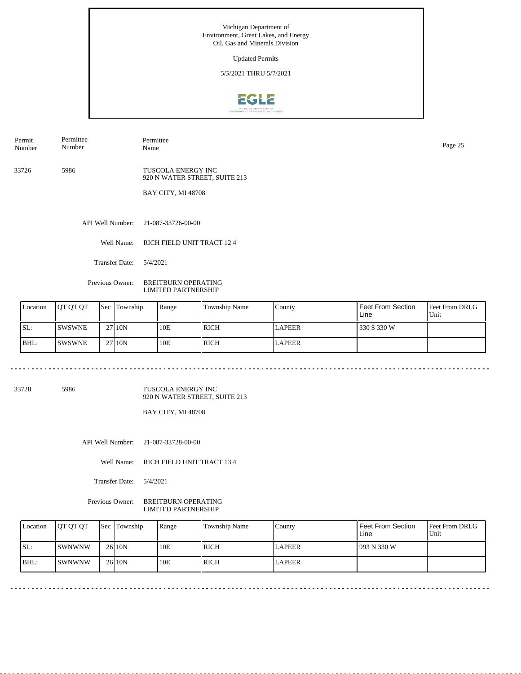Updated Permits

5/3/2021 THRU 5/7/2021



Permit Number Permittee Number

Permittee Name Page 25

33726 5986 TUSCOLA ENERGY INC

920 N WATER STREET, SUITE 213 BAY CITY, MI 48708

API Well Number: 21-087-33726-00-00

Well Name: RICH FIELD UNIT TRACT 12 4

Transfer Date: 5/4/2021

<u>. . . . . . . . .</u>

Previous Owner: BREITBURN OPERATING LIMITED PARTNERSHIP

|     | Location | <b>OT OT OT</b> | <b>Sec Township</b> | Range | <b>Township Name</b> | County        | <b>Feet From Section</b><br>Line | <b>Feet From DRLG</b><br>Unit |
|-----|----------|-----------------|---------------------|-------|----------------------|---------------|----------------------------------|-------------------------------|
| SL: |          | <b>SWSWNE</b>   | 27110N              | 10E   | RICH                 | <b>LAPEER</b> | 330 S 330 W                      |                               |
|     | BHL:     | <b>ISWSWNE</b>  | 27 10N              | 10E   | RICH                 | <b>LAPEER</b> |                                  |                               |

33728 5986

TUSCOLA ENERGY INC 920 N WATER STREET, SUITE 213

. . . . . . . . . . . . . . . . .

BAY CITY, MI 48708

API Well Number: 21-087-33728-00-00

Well Name: RICH FIELD UNIT TRACT 13 4

Transfer Date: 5/4/2021

Previous Owner: BREITBURN OPERATING LIMITED PARTNERSHIP

| Location | <b>IOT OT OT</b>      | Sec Township | Range | Township Name | County        | <b>Feet From Section</b><br>∟ine | <b>Feet From DRLG</b><br>Unit |
|----------|-----------------------|--------------|-------|---------------|---------------|----------------------------------|-------------------------------|
| SL:      | ISWNWNW               | 26 10N       | 10E   | l rich        | <b>LAPEER</b> | 1993 N 330 W                     |                               |
| $IBHL$ : | <i><b>ISWNWNW</b></i> | 26 10N       | 10E   | <b>RICH</b>   | <b>LAPEER</b> |                                  |                               |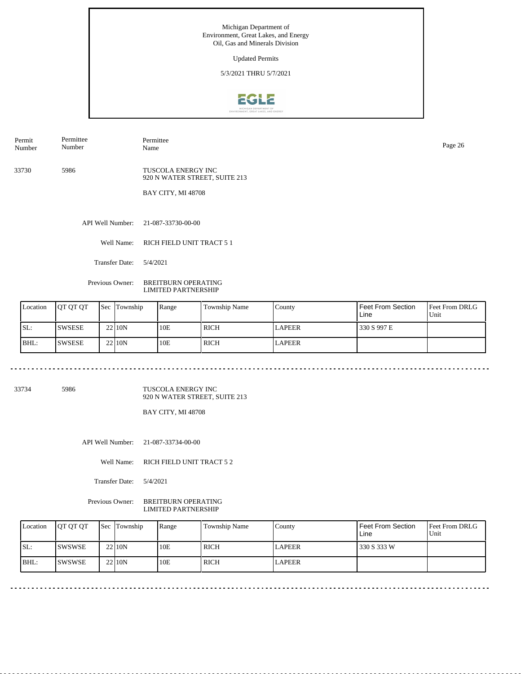Updated Permits

5/3/2021 THRU 5/7/2021



Permit Number Permittee Number

Permittee Name Page 26

33730 5986

TUSCOLA ENERGY INC 920 N WATER STREET, SUITE 213

BAY CITY, MI 48708

API Well Number: 21-087-33730-00-00

Well Name: RICH FIELD UNIT TRACT 5 1

Transfer Date: 5/4/2021

<u>. . . . . . . .</u>

Previous Owner: BREITBURN OPERATING LIMITED PARTNERSHIP

| Location | <b>OT OT OT</b> | <b>Sec Township</b> | Range | <b>Township Name</b> | County        | Feet From Section<br>Line | <b>Feet From DRLG</b><br>Unit |
|----------|-----------------|---------------------|-------|----------------------|---------------|---------------------------|-------------------------------|
| SL:      | <b>SWSESE</b>   | 22110N              | 10E   | RICH                 | <b>LAPEER</b> | 330 S 997 E               |                               |
| BHL:     | <b>ISWSESE</b>  | 22110 <sub>N</sub>  | 10E   | RICH                 | <b>LAPEER</b> |                           |                               |

33734 5986

TUSCOLA ENERGY INC 920 N WATER STREET, SUITE 213

. . . . . . . . . . . . . . . . .

BAY CITY, MI 48708

API Well Number: 21-087-33734-00-00

Well Name: RICH FIELD UNIT TRACT 5 2

Transfer Date: 5/4/2021

Previous Owner: BREITBURN OPERATING LIMITED PARTNERSHIP

| Location | <b>IOT OT OT</b> | Sec Township | Range | Township Name | County        | l Feet From Section<br>Line | <b>Feet From DRLG</b><br>Unit |
|----------|------------------|--------------|-------|---------------|---------------|-----------------------------|-------------------------------|
| SL:      | <b>ISWSWSE</b>   | 22110N       | 10E   | <b>RICH</b>   | <b>LAPEER</b> | 330 S 333 W                 |                               |
| $IBHL$ : | ISWSWSE          | 22110N       | 10E   | <b>RICH</b>   | <b>LAPEER</b> |                             |                               |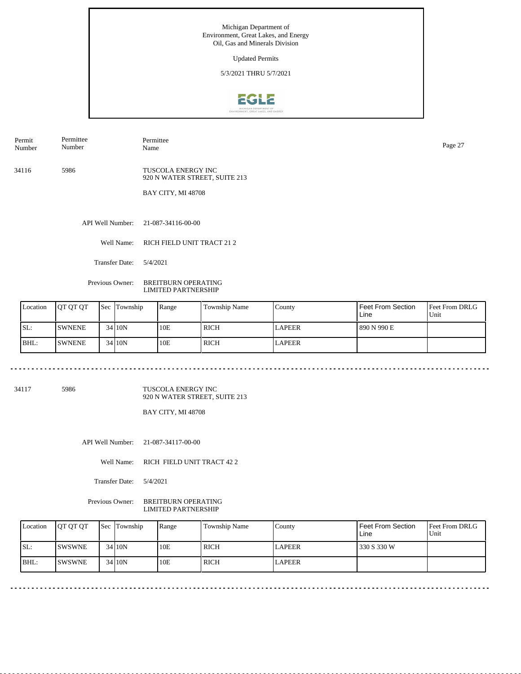Updated Permits

5/3/2021 THRU 5/7/2021



Permit Number Permittee Number

Permittee Name Page 27

34116 5986 TUSCOLA ENERGY INC

920 N WATER STREET, SUITE 213 BAY CITY, MI 48708

API Well Number: 21-087-34116-00-00

Well Name: RICH FIELD UNIT TRACT 21 2

Transfer Date: 5/4/2021

<u>. . . . . . . . .</u>

Previous Owner: BREITBURN OPERATING LIMITED PARTNERSHIP

| Location | <b>OT OT OT</b> | <b>Sec Township</b> | Range | <b>Township Name</b> | County        | <b>Feet From Section</b><br>Line | <b>Feet From DRLG</b><br>Unit |
|----------|-----------------|---------------------|-------|----------------------|---------------|----------------------------------|-------------------------------|
| SL:      | <b>SWNENE</b>   | 3410N               | 10E   | RICH                 | <b>LAPEER</b> | 890 N 990 E                      |                               |
| BHL:     | <b>SWNENE</b>   | 3410N               | 10E   | <b>RICH</b>          | <b>LAPEER</b> |                                  |                               |

34117 5986

TUSCOLA ENERGY INC 920 N WATER STREET, SUITE 213

. . . . . . . . . . . . . . . . . .

BAY CITY, MI 48708

API Well Number: 21-087-34117-00-00

Well Name: RICH FIELD UNIT TRACT 42 2

Transfer Date: 5/4/2021

Previous Owner: BREITBURN OPERATING LIMITED PARTNERSHIP

| Location | <b>IOT OT OT</b> | Sec Township | Range | Township Name | County        | Feet From Section<br>Line | <b>Feet From DRLG</b><br>Unit |
|----------|------------------|--------------|-------|---------------|---------------|---------------------------|-------------------------------|
| SL:      | <b>ISWSWNE</b>   | 34 10N       | 10E   | RICH          | <b>LAPEER</b> | 330 S 330 W               |                               |
| IBHL:    | ISWSWNE          | 34 10N       | 10E   | <b>RICH</b>   | <b>LAPEER</b> |                           |                               |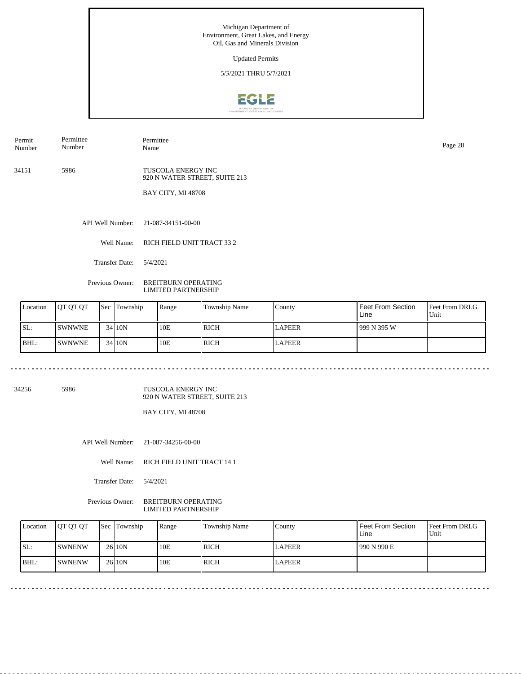Updated Permits

5/3/2021 THRU 5/7/2021



Permit Number Permittee Number

Permittee Name Page 28

34151 5986 TUSCOLA ENERGY INC

920 N WATER STREET, SUITE 213

BAY CITY, MI 48708

API Well Number: 21-087-34151-00-00

Well Name: RICH FIELD UNIT TRACT 33 2

Transfer Date: 5/4/2021

<u>. . . . . . . . .</u>

Previous Owner: BREITBURN OPERATING LIMITED PARTNERSHIP

| Location | <b>OT OT OT</b> | <b>Sec Township</b> | Range | <b>Township Name</b> | County        | <b>Feet From Section</b><br>Line | <b>Feet From DRLG</b><br>Unit |
|----------|-----------------|---------------------|-------|----------------------|---------------|----------------------------------|-------------------------------|
| SL:      | <b>SWNWNE</b>   | 34 10N              | 10E   | <b>RICH</b>          | <b>LAPEER</b> | 1999 N 395 W                     |                               |
| BHL:     | <b>ISWNWNE</b>  | 34 10N              | 10E   | <b>RICH</b>          | <b>LAPEER</b> |                                  |                               |

34256 5986

TUSCOLA ENERGY INC 920 N WATER STREET, SUITE 213

. . . . . . . . . . . . . . . . .

BAY CITY, MI 48708

API Well Number: 21-087-34256-00-00

Well Name: RICH FIELD UNIT TRACT 14 1

Transfer Date: 5/4/2021

Previous Owner: BREITBURN OPERATING LIMITED PARTNERSHIP

| Location | <b>IOT OT OT</b> | Sec Township | Range | Township Name | County | Feet From Section<br>Line | <b>Feet From DRLG</b><br>Unit |
|----------|------------------|--------------|-------|---------------|--------|---------------------------|-------------------------------|
| SL:      | <b>ISWNENW</b>   | 26 10N       | 10E   | ' RICH        | LAPEER | 1990 N 990 E              |                               |
| IBHL:    | <b>ISWNENW</b>   | 26 10N       | 10E   | <b>RICH</b>   | LAPEER |                           |                               |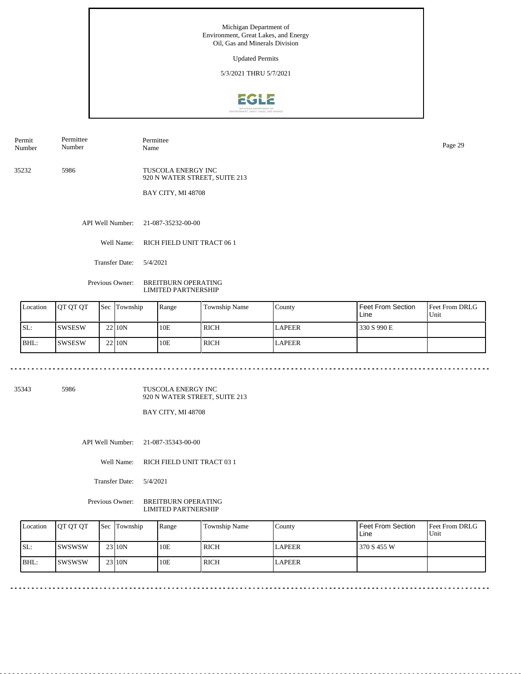Updated Permits

5/3/2021 THRU 5/7/2021



Permit Number Permittee Number

Permittee Name Page 29

35232 5986

TUSCOLA ENERGY INC 920 N WATER STREET, SUITE 213

BAY CITY, MI 48708

API Well Number: 21-087-35232-00-00

Well Name: RICH FIELD UNIT TRACT 06 1

Transfer Date: 5/4/2021

<u>. . . . . . . .</u>

Previous Owner: BREITBURN OPERATING LIMITED PARTNERSHIP

| Location | <b>OT OT OT</b> | <b>Sec Township</b> | Range | <b>Township Name</b> | County        | Feet From Section<br>Line | <b>Feet From DRLG</b><br>Unit |
|----------|-----------------|---------------------|-------|----------------------|---------------|---------------------------|-------------------------------|
| SL:      | ISWSESW         | 22110N              | 10E   | <b>RICH</b>          | <b>LAPEER</b> | 330 S 990 E               |                               |
| BHL:     | <b>SWSESW</b>   | 22110N              | 10E   | <b>RICH</b>          | <b>LAPEER</b> |                           |                               |

35343 5986

TUSCOLA ENERGY INC 920 N WATER STREET, SUITE 213

. . . . . . . . . . . . . . . . .

BAY CITY, MI 48708

API Well Number: 21-087-35343-00-00

Well Name: RICH FIELD UNIT TRACT 03 1

Transfer Date: 5/4/2021

Previous Owner: BREITBURN OPERATING LIMITED PARTNERSHIP

| Location | <b>IOT OT OT</b> | Sec Township | Range | Township Name | County        | l Feet From Section<br>Line | <b>Feet From DRLG</b><br>Unit |
|----------|------------------|--------------|-------|---------------|---------------|-----------------------------|-------------------------------|
| SL:      | ISWSWSW          | 23110N       | 10E   | <b>RICH</b>   | <b>LAPEER</b> | 370 S 455 W                 |                               |
| $IBHL$ : | ISWSWSW          | 23 10N       | 10E   | <b>RICH</b>   | <b>LAPEER</b> |                             |                               |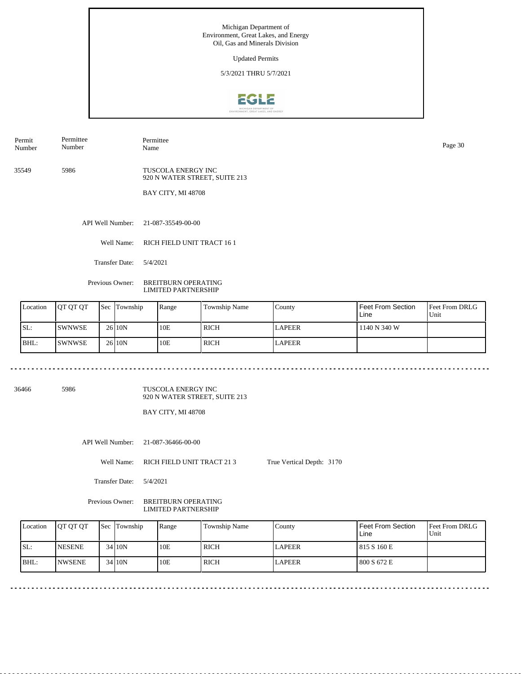Updated Permits

5/3/2021 THRU 5/7/2021



Permit Number Permittee Number

Permittee Name Page 30

35549 5986

TUSCOLA ENERGY INC 920 N WATER STREET, SUITE 213

BAY CITY, MI 48708

API Well Number: 21-087-35549-00-00

Well Name: RICH FIELD UNIT TRACT 16 1

Transfer Date: 5/4/2021

Previous Owner: BREITBURN OPERATING LIMITED PARTNERSHIP

| Location | <b>OT OT OT</b> | <b>Sec Township</b> | Range | <b>Township Name</b> | County        | <b>Feet From Section</b><br>Line | <b>Feet From DRLG</b><br>Unit |
|----------|-----------------|---------------------|-------|----------------------|---------------|----------------------------------|-------------------------------|
| SL:      | ISWNWSE         | $26$  10N           | 10E   | <b>RICH</b>          | <b>LAPEER</b> | 1140 N 340 W                     |                               |
| BHL:     | <b>SWNWSE</b>   | $26$  10N           | 10E   | <b>RICH</b>          | <b>LAPEER</b> |                                  |                               |

36466 5986

TUSCOLA ENERGY INC 920 N WATER STREET, SUITE 213

BAY CITY, MI 48708

API Well Number: 21-087-36466-00-00

Well Name: RICH FIELD UNIT TRACT 21 3 True Vertical Depth: 3170

Transfer Date: 5/4/2021

Previous Owner: BREITBURN OPERATING LIMITED PARTNERSHIP

<u>. . . . . . . . .</u>

<u>. . . . . . . . .</u>

| Location | <b>IOT OT OT</b> | <b>Sec Township</b> | Range | Township Name | County        | Feet From Section<br>Line | <b>Feet From DRLG</b><br>Unit |
|----------|------------------|---------------------|-------|---------------|---------------|---------------------------|-------------------------------|
| SL:      | <b>INESENE</b>   | $34$  10N           | 10E   | ' RICH        | <b>LAPEER</b> | 1815 S 160 E              |                               |
| $IBHL$ : | <b>INWSENE</b>   | 34 10N              | 10E   | RICH          | <b>LAPEER</b> | 800 S 672 E               |                               |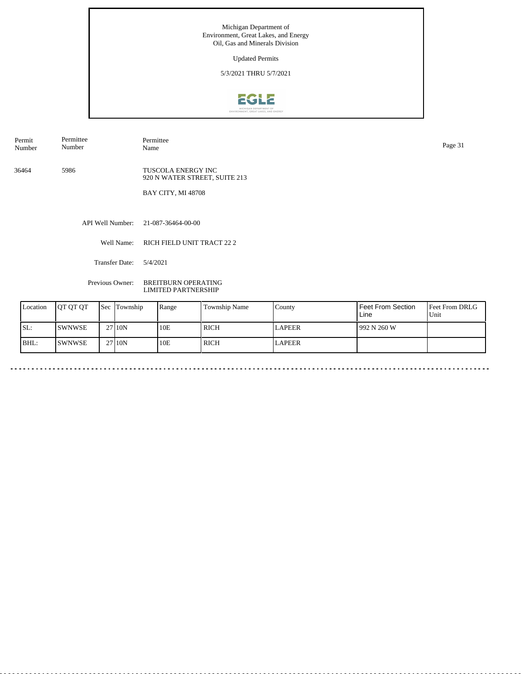Updated Permits

5/3/2021 THRU 5/7/2021



Permit Number Permittee Number

Permittee Name Page 31

36464 5986

TUSCOLA ENERGY INC 920 N WATER STREET, SUITE 213

BAY CITY, MI 48708

API Well Number: 21-087-36464-00-00

Well Name: RICH FIELD UNIT TRACT 22 2

<u>. . . . . . . . .</u>

Transfer Date: 5/4/2021

Previous Owner: BREITBURN OPERATING LIMITED PARTNERSHIP

|      | Location | <b>OT OT OT</b> | <b>Sec Township</b> | Range | Township Name | County        | Feet From Section<br>Line | Feet From DRLG<br>Unit |
|------|----------|-----------------|---------------------|-------|---------------|---------------|---------------------------|------------------------|
| ISL: |          | <b>SWNWSE</b>   | 27 10N              | 10E   | <b>RICH</b>   | <b>LAPEER</b> | 992 N 260 W               |                        |
| BHL: |          | <b>ISWNWSE</b>  | 27110N              | 10E   | <b>RICH</b>   | <b>LAPEER</b> |                           |                        |